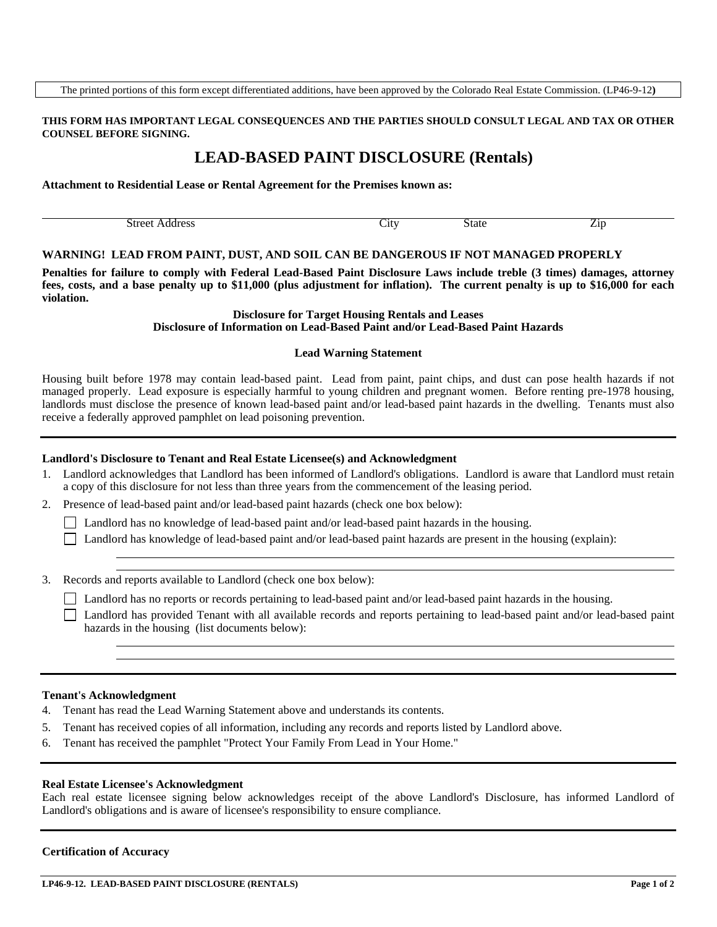### **THIS FORM HAS IMPORTANT LEGAL CONSEQUENCES AND THE PARTIES SHOULD CONSULT LEGAL AND TAX OR OTHER COUNSEL BEFORE SIGNING.**

# **LEAD-BASED PAINT DISCLOSURE (Rentals)**

# **Attachment to Residential Lease or Rental Agreement for the Premises known as:**

| $\cdots$ | ٦ħ | $\sim$ | - 11 |
|----------|----|--------|------|
|          |    |        |      |

#### **WARNING! LEAD FROM PAINT, DUST, AND SOIL CAN BE DANGEROUS IF NOT MANAGED PROPERLY**

**Penalties for failure to comply with Federal Lead-Based Paint Disclosure Laws include treble (3 times) damages, attorney fees, costs, and a base penalty up to \$11,000 (plus adjustment for inflation). The current penalty is up to \$16,000 for each violation.** 

> **Disclosure for Target Housing Rentals and Leases Disclosure of Information on Lead-Based Paint and/or Lead-Based Paint Hazards**

#### **Lead Warning Statement**

Housing built before 1978 may contain lead-based paint. Lead from paint, paint chips, and dust can pose health hazards if not managed properly. Lead exposure is especially harmful to young children and pregnant women. Before renting pre-1978 housing, landlords must disclose the presence of known lead-based paint and/or lead-based paint hazards in the dwelling. Tenants must also receive a federally approved pamphlet on lead poisoning prevention.

# **Landlord's Disclosure to Tenant and Real Estate Licensee(s) and Acknowledgment**

- 1. Landlord acknowledges that Landlord has been informed of Landlord's obligations. Landlord is aware that Landlord must retain a copy of this disclosure for not less than three years from the commencement of the leasing period.
- 2. Presence of lead-based paint and/or lead-based paint hazards (check one box below):

Landlord has no knowledge of lead-based paint and/or lead-based paint hazards in the housing.

Landlord has knowledge of lead-based paint and/or lead-based paint hazards are present in the housing (explain):

3. Records and reports available to Landlord (check one box below):

Landlord has no reports or records pertaining to lead-based paint and/or lead-based paint hazards in the housing.

 Landlord has provided Tenant with all available records and reports pertaining to lead-based paint and/or lead-based paint hazards in the housing (list documents below):

# **Tenant's Acknowledgment**

- 4. Tenant has read the Lead Warning Statement above and understands its contents.
- 5. Tenant has received copies of all information, including any records and reports listed by Landlord above.
- 6. Tenant has received the pamphlet "Protect Your Family From Lead in Your Home."

#### **Real Estate Licensee's Acknowledgment**

Each real estate licensee signing below acknowledges receipt of the above Landlord's Disclosure, has informed Landlord of Landlord's obligations and is aware of licensee's responsibility to ensure compliance.

# **Certification of Accuracy**